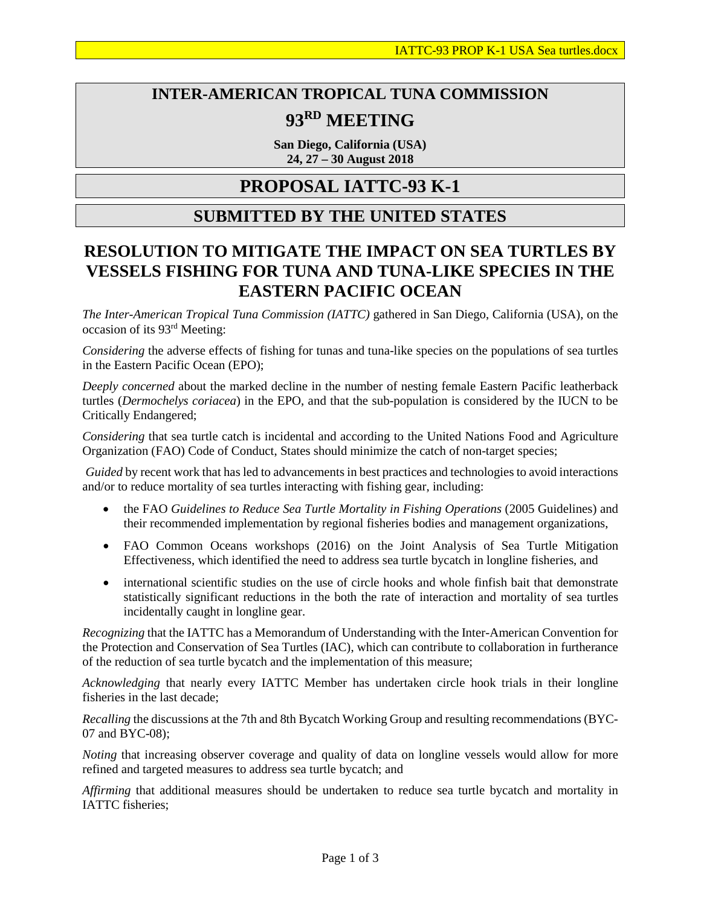# **INTER-AMERICAN TROPICAL TUNA COMMISSION 93RD MEETING**

**San Diego, California (USA)** 

**24, 27 – 30 August 2018**

## **PROPOSAL IATTC-93 K-1**

### **SUBMITTED BY THE UNITED STATES**

### **RESOLUTION TO MITIGATE THE IMPACT ON SEA TURTLES BY VESSELS FISHING FOR TUNA AND TUNA-LIKE SPECIES IN THE EASTERN PACIFIC OCEAN**

*The Inter-American Tropical Tuna Commission (IATTC)* gathered in San Diego, California (USA), on the occasion of its 93rd Meeting:

*Considering* the adverse effects of fishing for tunas and tuna-like species on the populations of sea turtles in the Eastern Pacific Ocean (EPO);

*Deeply concerned* about the marked decline in the number of nesting female Eastern Pacific leatherback turtles (*Dermochelys coriacea*) in the EPO, and that the sub-population is considered by the IUCN to be Critically Endangered;

*Considering* that sea turtle catch is incidental and according to the United Nations Food and Agriculture Organization (FAO) Code of Conduct, States should minimize the catch of non-target species;

*Guided* by recent work that has led to advancements in best practices and technologies to avoid interactions and/or to reduce mortality of sea turtles interacting with fishing gear, including:

- the FAO *Guidelines to Reduce Sea Turtle Mortality in Fishing Operations* (2005 Guidelines) and their recommended implementation by regional fisheries bodies and management organizations,
- FAO Common Oceans workshops (2016) on the Joint Analysis of Sea Turtle Mitigation Effectiveness, which identified the need to address sea turtle bycatch in longline fisheries, and
- international scientific studies on the use of circle hooks and whole finfish bait that demonstrate statistically significant reductions in the both the rate of interaction and mortality of sea turtles incidentally caught in longline gear.

*Recognizing* that the IATTC has a Memorandum of Understanding with the Inter-American Convention for the Protection and Conservation of Sea Turtles (IAC), which can contribute to collaboration in furtherance of the reduction of sea turtle bycatch and the implementation of this measure;

*Acknowledging* that nearly every IATTC Member has undertaken circle hook trials in their longline fisheries in the last decade;

*Recalling* the discussions at the 7th and 8th Bycatch Working Group and resulting recommendations (BYC-07 and BYC-08);

*Noting* that increasing observer coverage and quality of data on longline vessels would allow for more refined and targeted measures to address sea turtle bycatch; and

*Affirming* that additional measures should be undertaken to reduce sea turtle bycatch and mortality in IATTC fisheries;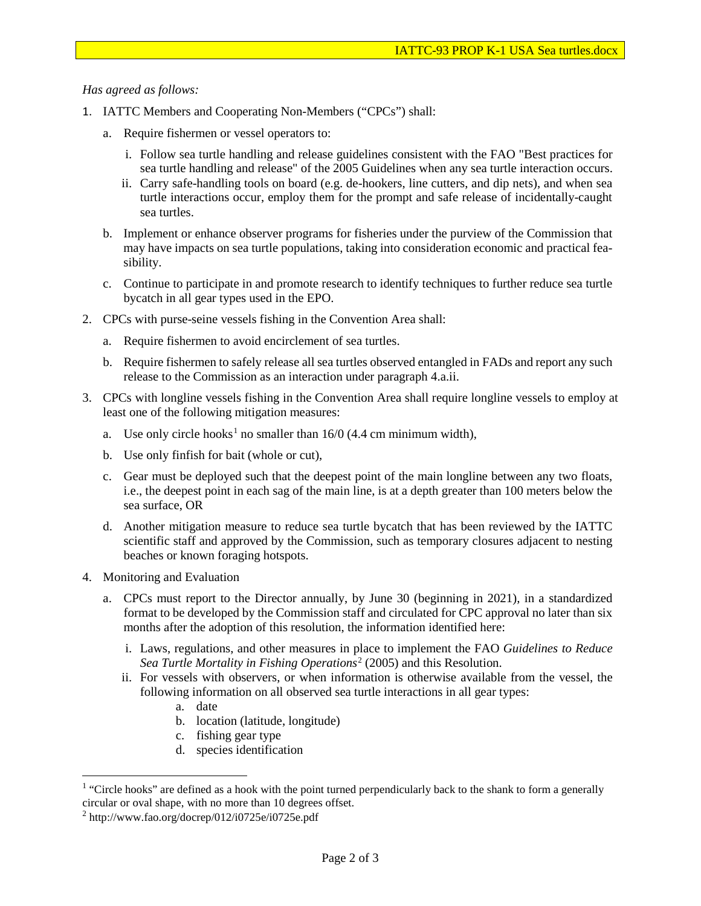#### *Has agreed as follows:*

- 1. IATTC Members and Cooperating Non-Members ("CPCs") shall:
	- a. Require fishermen or vessel operators to:
		- i. Follow sea turtle handling and release guidelines consistent with the FAO "Best practices for sea turtle handling and release" of the 2005 Guidelines when any sea turtle interaction occurs.
		- ii. Carry safe-handling tools on board (e.g. de-hookers, line cutters, and dip nets), and when sea turtle interactions occur, employ them for the prompt and safe release of incidentally-caught sea turtles.
	- b. Implement or enhance observer programs for fisheries under the purview of the Commission that may have impacts on sea turtle populations, taking into consideration economic and practical feasibility.
	- c. Continue to participate in and promote research to identify techniques to further reduce sea turtle bycatch in all gear types used in the EPO.
- 2. CPCs with purse-seine vessels fishing in the Convention Area shall:
	- a. Require fishermen to avoid encirclement of sea turtles.
	- b. Require fishermen to safely release all sea turtles observed entangled in FADs and report any such release to the Commission as an interaction under paragraph 4.a.ii.
- 3. CPCs with longline vessels fishing in the Convention Area shall require longline vessels to employ at least one of the following mitigation measures:
	- a. Use only circle hooks<sup>[1](#page-1-0)</sup> no smaller than  $16/0$  (4.4 cm minimum width),
	- b. Use only finfish for bait (whole or cut),
	- c. Gear must be deployed such that the deepest point of the main longline between any two floats, i.e., the deepest point in each sag of the main line, is at a depth greater than 100 meters below the sea surface, OR
	- d. Another mitigation measure to reduce sea turtle bycatch that has been reviewed by the IATTC scientific staff and approved by the Commission, such as temporary closures adjacent to nesting beaches or known foraging hotspots.
- 4. Monitoring and Evaluation

 $\overline{a}$ 

- a. CPCs must report to the Director annually, by June 30 (beginning in 2021), in a standardized format to be developed by the Commission staff and circulated for CPC approval no later than six months after the adoption of this resolution, the information identified here:
	- i. Laws, regulations, and other measures in place to implement the FAO *Guidelines to Reduce Sea Turtle Mortality in Fishing Operations*[2](#page-1-1) (2005) and this Resolution.
	- ii. For vessels with observers, or when information is otherwise available from the vessel, the following information on all observed sea turtle interactions in all gear types:
		- a. date
		- b. location (latitude, longitude)
		- c. fishing gear type
		- d. species identification

<span id="page-1-0"></span><sup>&</sup>lt;sup>1</sup> "Circle hooks" are defined as a hook with the point turned perpendicularly back to the shank to form a generally circular or oval shape, with no more than 10 degrees offset.

<span id="page-1-1"></span><sup>2</sup> http://www.fao.org/docrep/012/i0725e/i0725e.pdf